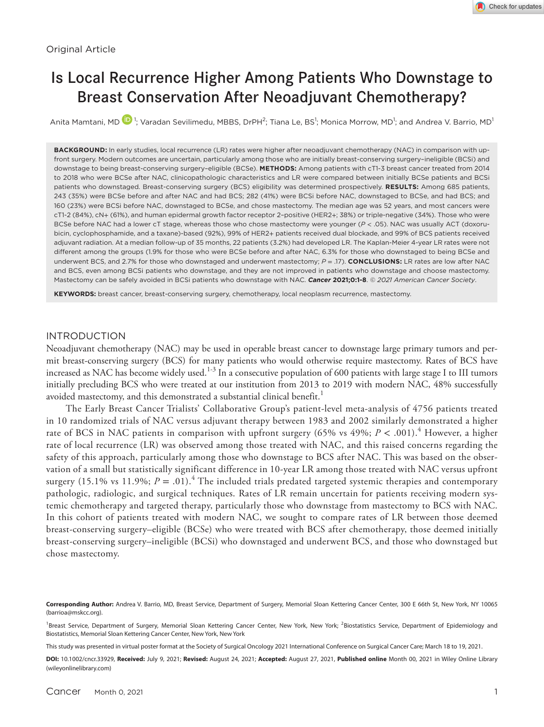# Is Local Recurrence Higher Among Patients Who Downstage to Breast Conservation After Neoadjuvant Chemotherapy?

Anita Mamtani, M[D](https://orcid.org/0000-0002-5637-5667)  $\blacksquare$  1; Varadan Sevilimedu, MBBS, DrPH<sup>2</sup>; Tiana Le, BS<sup>1</sup>; Monica Morrow, MD<sup>1</sup>; and Andrea V. Barrio, MD<sup>1</sup>

**BACKGROUND:** In early studies, local recurrence (LR) rates were higher after neoadjuvant chemotherapy (NAC) in comparison with upfront surgery. Modern outcomes are uncertain, particularly among those who are initially breast-conserving surgery–ineligible (BCSi) and downstage to being breast-conserving surgery–eligible (BCSe). **METHODS:** Among patients with cT1-3 breast cancer treated from 2014 to 2018 who were BCSe after NAC, clinicopathologic characteristics and LR were compared between initially BCSe patients and BCSi patients who downstaged. Breast-conserving surgery (BCS) eligibility was determined prospectively. **RESULTS:** Among 685 patients, 243 (35%) were BCSe before and after NAC and had BCS; 282 (41%) were BCSi before NAC, downstaged to BCSe, and had BCS; and 160 (23%) were BCSi before NAC, downstaged to BCSe, and chose mastectomy. The median age was 52 years, and most cancers were cT1-2 (84%), cN+ (61%), and human epidermal growth factor receptor 2–positive (HER2+; 38%) or triple-negative (34%). Those who were BCSe before NAC had a lower cT stage, whereas those who chose mastectomy were younger (*P* < .05). NAC was usually ACT (doxorubicin, cyclophosphamide, and a taxane)-based (92%), 99% of HER2+ patients received dual blockade, and 99% of BCS patients received adjuvant radiation. At a median follow-up of 35 months, 22 patients (3.2%) had developed LR. The Kaplan-Meier 4-year LR rates were not different among the groups (1.9% for those who were BCSe before and after NAC, 6.3% for those who downstaged to being BCSe and underwent BCS, and 2.7% for those who downstaged and underwent mastectomy; *P* = .17). **CONCLUSIONS:** LR rates are low after NAC and BCS, even among BCSi patients who downstage, and they are not improved in patients who downstage and choose mastectomy. Mastectomy can be safely avoided in BCSi patients who downstage with NAC. *Cancer* **2021;0:1-8**. *© 2021 American Cancer Society*.

**KEYWORDS:** breast cancer, breast-conserving surgery, chemotherapy, local neoplasm recurrence, mastectomy.

## INTRODUCTION

Neoadjuvant chemotherapy (NAC) may be used in operable breast cancer to downstage large primary tumors and permit breast-conserving surgery (BCS) for many patients who would otherwise require mastectomy. Rates of BCS have increased as NAC has become widely used. $^{1\text{-}3}$  In a consecutive population of 600 patients with large stage I to III tumors initially precluding BCS who were treated at our institution from 2013 to 2019 with modern NAC, 48% successfully avoided mastectomy, and this demonstrated a substantial clinical benefit.<sup>1</sup>

The Early Breast Cancer Trialists' Collaborative Group's patient-level meta-analysis of 4756 patients treated in 10 randomized trials of NAC versus adjuvant therapy between 1983 and 2002 similarly demonstrated a higher rate of BCS in NAC patients in comparison with upfront surgery (65% vs 49%;  $P < .001$ ).<sup>4</sup> However, a higher rate of local recurrence (LR) was observed among those treated with NAC, and this raised concerns regarding the safety of this approach, particularly among those who downstage to BCS after NAC. This was based on the observation of a small but statistically significant difference in 10-year LR among those treated with NAC versus upfront surgery (15.1% vs 11.9%;  $P = .01$ ).<sup>4</sup> The included trials predated targeted systemic therapies and contemporary pathologic, radiologic, and surgical techniques. Rates of LR remain uncertain for patients receiving modern systemic chemotherapy and targeted therapy, particularly those who downstage from mastectomy to BCS with NAC. In this cohort of patients treated with modern NAC, we sought to compare rates of LR between those deemed breast-conserving surgery–eligible (BCSe) who were treated with BCS after chemotherapy, those deemed initially breast-conserving surgery–ineligible (BCSi) who downstaged and underwent BCS, and those who downstaged but chose mastectomy.

This study was presented in virtual poster format at the Society of Surgical Oncology 2021 International Conference on Surgical Cancer Care; March 18 to 19, 2021.

**Corresponding Author:** Andrea V. Barrio, MD, Breast Service, Department of Surgery, Memorial Sloan Kettering Cancer Center, 300 E 66th St, New York, NY 10065 ([barrioa@mskcc.org](mailto:barrioa@mskcc.org)).

<sup>&</sup>lt;sup>1</sup>Breast Service, Department of Surgery, Memorial Sloan Kettering Cancer Center, New York, New York; <sup>2</sup>Biostatistics Service, Department of Epidemiology and Biostatistics, Memorial Sloan Kettering Cancer Center, New York, New York

**DOI:** 10.1002/cncr.33929, **Received:** July 9, 2021; **Revised:** August 24, 2021; **Accepted:** August 27, 2021, **Published online** Month 00, 2021 in Wiley Online Library (wileyonlinelibrary.com)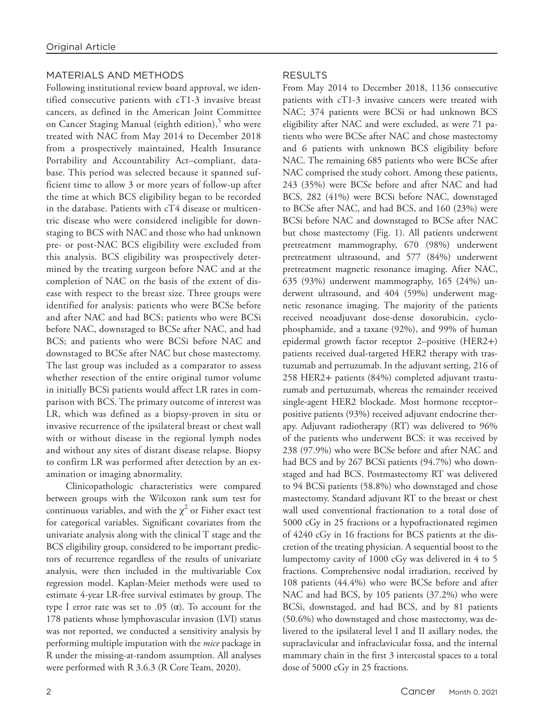# MATERIALS AND METHODS

Following institutional review board approval, we identified consecutive patients with cT1-3 invasive breast cancers, as defined in the American Joint Committee on Cancer Staging Manual (eighth edition), $^5$  who were treated with NAC from May 2014 to December 2018 from a prospectively maintained, Health Insurance Portability and Accountability Act–compliant, database. This period was selected because it spanned sufficient time to allow 3 or more years of follow-up after the time at which BCS eligibility began to be recorded in the database. Patients with cT4 disease or multicentric disease who were considered ineligible for downstaging to BCS with NAC and those who had unknown pre- or post-NAC BCS eligibility were excluded from this analysis. BCS eligibility was prospectively determined by the treating surgeon before NAC and at the completion of NAC on the basis of the extent of disease with respect to the breast size. Three groups were identified for analysis: patients who were BCSe before and after NAC and had BCS; patients who were BCSi before NAC, downstaged to BCSe after NAC, and had BCS; and patients who were BCSi before NAC and downstaged to BCSe after NAC but chose mastectomy. The last group was included as a comparator to assess whether resection of the entire original tumor volume in initially BCSi patients would affect LR rates in comparison with BCS. The primary outcome of interest was LR, which was defined as a biopsy-proven in situ or invasive recurrence of the ipsilateral breast or chest wall with or without disease in the regional lymph nodes and without any sites of distant disease relapse. Biopsy to confirm LR was performed after detection by an examination or imaging abnormality.

Clinicopathologic characteristics were compared between groups with the Wilcoxon rank sum test for continuous variables, and with the  $\chi^2$  or Fisher exact test for categorical variables. Significant covariates from the univariate analysis along with the clinical T stage and the BCS eligibility group, considered to be important predictors of recurrence regardless of the results of univariate analysis, were then included in the multivariable Cox regression model. Kaplan-Meier methods were used to estimate 4-year LR-free survival estimates by group. The type I error rate was set to .05 (α). To account for the 178 patients whose lymphovascular invasion (LVI) status was not reported, we conducted a sensitivity analysis by performing multiple imputation with the *mice* package in R under the missing-at-random assumption. All analyses were performed with R 3.6.3 (R Core Team, 2020).

# RESULTS

From May 2014 to December 2018, 1136 consecutive patients with cT1-3 invasive cancers were treated with NAC; 374 patients were BCSi or had unknown BCS eligibility after NAC and were excluded, as were 71 patients who were BCSe after NAC and chose mastectomy and 6 patients with unknown BCS eligibility before NAC. The remaining 685 patients who were BCSe after NAC comprised the study cohort. Among these patients, 243 (35%) were BCSe before and after NAC and had BCS, 282 (41%) were BCSi before NAC, downstaged to BCSe after NAC, and had BCS, and 160 (23%) were BCSi before NAC and downstaged to BCSe after NAC but chose mastectomy (Fig. 1). All patients underwent pretreatment mammography, 670 (98%) underwent pretreatment ultrasound, and 577 (84%) underwent pretreatment magnetic resonance imaging. After NAC, 635 (93%) underwent mammography, 165 (24%) underwent ultrasound, and 404 (59%) underwent magnetic resonance imaging. The majority of the patients received neoadjuvant dose-dense doxorubicin, cyclophosphamide, and a taxane (92%), and 99% of human epidermal growth factor receptor 2–positive (HER2+) patients received dual-targeted HER2 therapy with trastuzumab and pertuzumab. In the adjuvant setting, 216 of 258 HER2+ patients (84%) completed adjuvant trastuzumab and pertuzumab, whereas the remainder received single-agent HER2 blockade. Most hormone receptor– positive patients (93%) received adjuvant endocrine therapy. Adjuvant radiotherapy (RT) was delivered to 96% of the patients who underwent BCS: it was received by 238 (97.9%) who were BCSe before and after NAC and had BCS and by 267 BCSi patients (94.7%) who downstaged and had BCS. Postmastectomy RT was delivered to 94 BCSi patients (58.8%) who downstaged and chose mastectomy. Standard adjuvant RT to the breast or chest wall used conventional fractionation to a total dose of 5000 cGy in 25 fractions or a hypofractionated regimen of 4240 cGy in 16 fractions for BCS patients at the discretion of the treating physician. A sequential boost to the lumpectomy cavity of 1000 cGy was delivered in 4 to 5 fractions. Comprehensive nodal irradiation, received by 108 patients (44.4%) who were BCSe before and after NAC and had BCS, by 105 patients (37.2%) who were BCSi, downstaged, and had BCS, and by 81 patients (50.6%) who downstaged and chose mastectomy, was delivered to the ipsilateral level I and II axillary nodes, the supraclavicular and infraclavicular fossa, and the internal mammary chain in the first 3 intercostal spaces to a total dose of 5000 cGy in 25 fractions.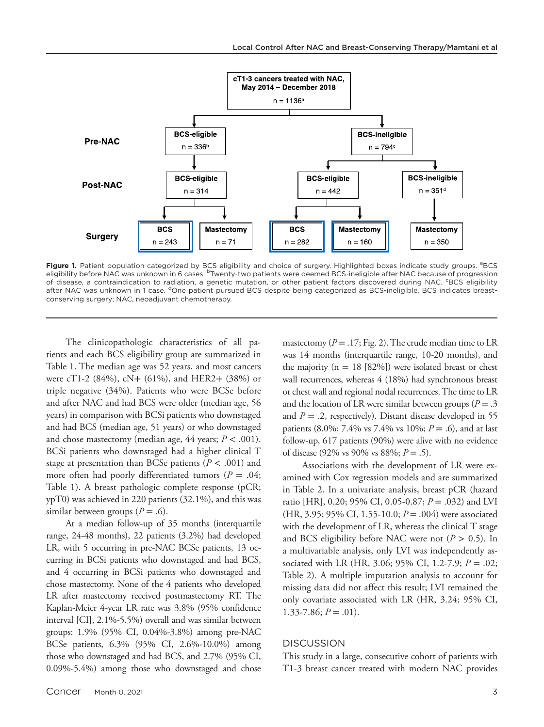

Figure 1. Patient population categorized by BCS eligibility and choice of surgery. Highlighted boxes indicate study groups. <sup>a</sup>BCS eligibility before NAC was unknown in 6 cases. <sup>b</sup>Twenty-two patients were deemed BCS-ineligible after NAC because of progression of disease, a contraindication to radiation, a genetic mutation, or other patient factors discovered during NAC. <sup>c</sup>BCS eligibility after NAC was unknown in 1 case. <sup>d</sup>One patient pursued BCS despite being categorized as BCS-ineligible. BCS indicates breastconserving surgery; NAC, neoadjuvant chemotherapy.

The clinicopathologic characteristics of all patients and each BCS eligibility group are summarized in Table 1. The median age was 52 years, and most cancers were cT1-2 (84%), cN+ (61%), and HER2+ (38%) or triple negative (34%). Patients who were BCSe before and after NAC and had BCS were older (median age, 56 years) in comparison with BCSi patients who downstaged and had BCS (median age, 51 years) or who downstaged and chose mastectomy (median age,  $44$  years;  $P < .001$ ). BCSi patients who downstaged had a higher clinical T stage at presentation than BCSe patients (*P* < .001) and more often had poorly differentiated tumors ( $P = .04$ ; Table 1). A breast pathologic complete response (pCR; ypT0) was achieved in 220 patients (32.1%), and this was similar between groups  $(P = .6)$ .

At a median follow-up of 35 months (interquartile range, 24-48 months), 22 patients (3.2%) had developed LR, with 5 occurring in pre-NAC BCSe patients, 13 occurring in BCSi patients who downstaged and had BCS, and 4 occurring in BCSi patients who downstaged and chose mastectomy. None of the 4 patients who developed LR after mastectomy received postmastectomy RT. The Kaplan-Meier 4-year LR rate was 3.8% (95% confidence interval [CI], 2.1%-5.5%) overall and was similar between groups: 1.9% (95% CI, 0.04%-3.8%) among pre-NAC BCSe patients, 6.3% (95% CI, 2.6%-10.0%) among those who downstaged and had BCS, and 2.7% (95% CI, 0.09%-5.4%) among those who downstaged and chose

mastectomy  $(P = .17; Fig. 2)$ . The crude median time to LR was 14 months (interquartile range, 10-20 months), and the majority ( $n = 18$  [82%]) were isolated breast or chest wall recurrences, whereas 4 (18%) had synchronous breast or chest wall and regional nodal recurrences. The time to LR and the location of LR were similar between groups ( $P = .3$ ) and  $P = 0.2$ , respectively). Distant disease developed in 55 patients (8.0%; 7.4% vs 7.4% vs 10%; *P* = .6), and at last follow-up, 617 patients (90%) were alive with no evidence of disease (92% vs 90% vs 88%; *P* = .5).

Associations with the development of LR were examined with Cox regression models and are summarized in Table 2. In a univariate analysis, breast pCR (hazard ratio [HR], 0.20; 95% CI, 0.05-0.87; *P* = .032) and LVI (HR, 3.95; 95% CI, 1.55-10.0; *P* = .004) were associated with the development of LR, whereas the clinical T stage and BCS eligibility before NAC were not  $(P > 0.5)$ . In a multivariable analysis, only LVI was independently associated with LR (HR, 3.06; 95% CI, 1.2-7.9; *P* = .02; Table 2). A multiple imputation analysis to account for missing data did not affect this result; LVI remained the only covariate associated with LR (HR, 3.24; 95% CI,  $1.33 - 7.86$ ;  $P = .01$ ).

## **DISCUSSION**

This study in a large, consecutive cohort of patients with T1-3 breast cancer treated with modern NAC provides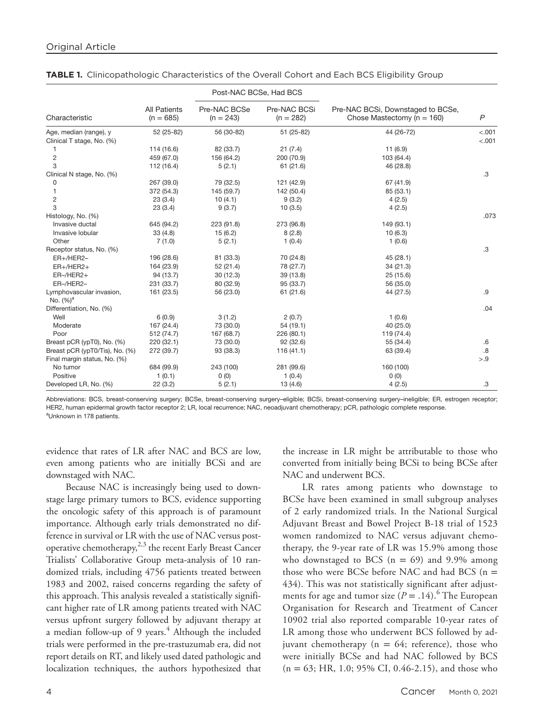|                                |                                    | Post-NAC BCSe, Had BCS      |                             |                                                                     |                |
|--------------------------------|------------------------------------|-----------------------------|-----------------------------|---------------------------------------------------------------------|----------------|
| Characteristic                 | <b>All Patients</b><br>$(n = 685)$ | Pre-NAC BCSe<br>$(n = 243)$ | Pre-NAC BCSi<br>$(n = 282)$ | Pre-NAC BCSi, Downstaged to BCSe,<br>Chose Mastectomy ( $n = 160$ ) | $\overline{P}$ |
| Age, median (range), y         | 52 (25-82)                         | 56 (30-82)                  | 51 (25-82)                  | 44 (26-72)                                                          | < .001         |
| Clinical T stage, No. (%)      |                                    |                             |                             |                                                                     | < .001         |
|                                | 114 (16.6)                         | 82 (33.7)                   | 21(7.4)                     | 11(6.9)                                                             |                |
| $\overline{2}$                 | 459 (67.0)                         | 156 (64.2)                  | 200 (70.9)                  | 103 (64.4)                                                          |                |
| 3                              | 112 (16.4)                         | 5(2.1)                      | 61(21.6)                    | 46 (28.8)                                                           |                |
| Clinical N stage, No. (%)      |                                    |                             |                             |                                                                     | .3             |
| 0                              | 267 (39.0)                         | 79 (32.5)                   | 121 (42.9)                  | 67 (41.9)                                                           |                |
| 1                              | 372 (54.3)                         | 145 (59.7)                  | 142 (50.4)                  | 85 (53.1)                                                           |                |
| $\overline{c}$                 | 23(3.4)                            | 10(4.1)                     | 9(3.2)                      | 4(2.5)                                                              |                |
| 3                              | 23(3.4)                            | 9(3.7)                      | 10(3.5)                     | 4(2.5)                                                              |                |
| Histology, No. (%)             |                                    |                             |                             |                                                                     | .073           |
| Invasive ductal                | 645 (94.2)                         | 223 (91.8)                  | 273 (96.8)                  | 149 (93.1)                                                          |                |
| Invasive lobular               | 33(4.8)                            | 15(6.2)                     | 8(2.8)                      | 10(6.3)                                                             |                |
| Other                          | 7(1.0)                             | 5(2.1)                      | 1(0.4)                      | 1(0.6)                                                              |                |
| Receptor status, No. (%)       |                                    |                             |                             |                                                                     | .3             |
| ER+/HER2-                      | 196 (28.6)                         | 81 (33.3)                   | 70 (24.8)                   | 45 (28.1)                                                           |                |
| $ER+ / HER2+$                  | 164 (23.9)                         | 52 (21.4)                   | 78 (27.7)                   | 34 (21.3)                                                           |                |
| $ER$ -/HER2+                   | 94 (13.7)                          | 30(12.3)                    | 39 (13.8)                   | 25 (15.6)                                                           |                |
| ER-/HER2-                      | 231 (33.7)                         | 80 (32.9)                   | 95 (33.7)                   | 56 (35.0)                                                           |                |
| Lymphovascular invasion,       | 161 (23.5)                         | 56 (23.0)                   | 61 (21.6)                   | 44 (27.5)                                                           | .9             |
| No. $(%)^a$                    |                                    |                             |                             |                                                                     |                |
| Differentiation, No. (%)       |                                    |                             |                             |                                                                     | .04            |
| Well                           | 6(0.9)                             | 3(1.2)                      | 2(0.7)                      | 1(0.6)                                                              |                |
| Moderate                       | 167 (24.4)                         | 73 (30.0)                   | 54 (19.1)                   | 40 (25.0)                                                           |                |
| Poor                           | 512 (74.7)                         | 167 (68.7)                  | 226 (80.1)                  | 119 (74.4)                                                          |                |
| Breast pCR (ypT0), No. (%)     | 220(32.1)                          | 73 (30.0)                   | 92(32.6)                    | 55 (34.4)                                                           | .6             |
| Breast pCR (ypT0/Tis), No. (%) | 272 (39.7)                         | 93 (38.3)                   | 116(41.1)                   | 63 (39.4)                                                           | .8             |
| Final margin status, No. (%)   |                                    |                             |                             |                                                                     | > 9            |
| No tumor                       | 684 (99.9)                         | 243 (100)                   | 281 (99.6)                  | 160 (100)                                                           |                |
| Positive                       | 1(0.1)                             | 0(0)                        | 1(0.4)                      | 0(0)                                                                |                |
| Developed LR, No. (%)          | 22(3.2)                            | 5(2.1)                      | 13(4.6)                     | 4(2.5)                                                              | .3             |

|  |  |  |  | TABLE 1. Clinicopathologic Characteristics of the Overall Cohort and Each BCS Eligibility Group |
|--|--|--|--|-------------------------------------------------------------------------------------------------|
|--|--|--|--|-------------------------------------------------------------------------------------------------|

Abbreviations: BCS, breast-conserving surgery; BCSe, breast-conserving surgery-eligible; BCSi, breast-conserving surgery-ineligible; ER, estrogen receptor; HER2, human epidermal growth factor receptor 2; LR, local recurrence; NAC, neoadjuvant chemotherapy; pCR, pathologic complete response. <sup>a</sup>Unknown in 178 patients.

evidence that rates of LR after NAC and BCS are low, even among patients who are initially BCSi and are downstaged with NAC.

Because NAC is increasingly being used to downstage large primary tumors to BCS, evidence supporting the oncologic safety of this approach is of paramount importance. Although early trials demonstrated no difference in survival or LR with the use of NAC versus postoperative chemotherapy, $^{2,3}$  the recent Early Breast Cancer Trialists' Collaborative Group meta-analysis of 10 randomized trials, including 4756 patients treated between 1983 and 2002, raised concerns regarding the safety of this approach. This analysis revealed a statistically significant higher rate of LR among patients treated with NAC versus upfront surgery followed by adjuvant therapy at a median follow-up of 9 years.<sup>4</sup> Although the included trials were performed in the pre-trastuzumab era, did not report details on RT, and likely used dated pathologic and localization techniques, the authors hypothesized that

the increase in LR might be attributable to those who converted from initially being BCSi to being BCSe after NAC and underwent BCS.

LR rates among patients who downstage to BCSe have been examined in small subgroup analyses of 2 early randomized trials. In the National Surgical Adjuvant Breast and Bowel Project B-18 trial of 1523 women randomized to NAC versus adjuvant chemotherapy, the 9-year rate of LR was 15.9% among those who downstaged to BCS  $(n = 69)$  and 9.9% among those who were BCSe before NAC and had BCS  $(n =$ 434). This was not statistically significant after adjustments for age and tumor size  $(P = .14)$ .<sup>6</sup> The European Organisation for Research and Treatment of Cancer 10902 trial also reported comparable 10-year rates of LR among those who underwent BCS followed by adjuvant chemotherapy ( $n = 64$ ; reference), those who were initially BCSe and had NAC followed by BCS  $(n = 63; HR, 1.0; 95\% CI, 0.46-2.15)$ , and those who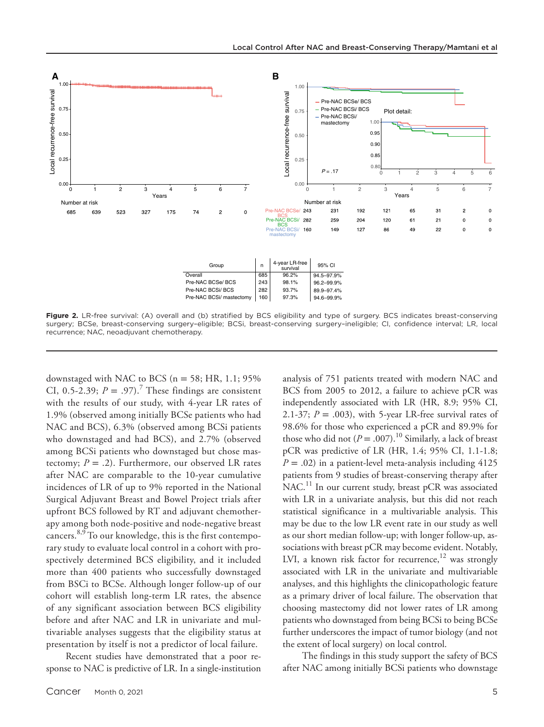

**Figure 2.** LR-free survival: (A) overall and (b) stratified by BCS eligibility and type of surgery. BCS indicates breast-conserving surgery; BCSe, breast-conserving surgery–eligible; BCSi, breast-conserving surgery–ineligible; CI, confidence interval; LR, local recurrence; NAC, neoadjuvant chemotherapy.

downstaged with NAC to BCS ( $n = 58$ ; HR, 1.1; 95% CI, 0.5-2.39;  $P = .97$ ).<sup>7</sup> These findings are consistent with the results of our study, with 4-year LR rates of 1.9% (observed among initially BCSe patients who had NAC and BCS), 6.3% (observed among BCSi patients who downstaged and had BCS), and 2.7% (observed among BCSi patients who downstaged but chose mastectomy;  $P = .2$ ). Furthermore, our observed LR rates after NAC are comparable to the 10-year cumulative incidences of LR of up to 9% reported in the National Surgical Adjuvant Breast and Bowel Project trials after upfront BCS followed by RT and adjuvant chemotherapy among both node-positive and node-negative breast cancers.8,9 To our knowledge, this is the first contemporary study to evaluate local control in a cohort with prospectively determined BCS eligibility, and it included more than 400 patients who successfully downstaged from BSCi to BCSe. Although longer follow-up of our cohort will establish long-term LR rates, the absence of any significant association between BCS eligibility before and after NAC and LR in univariate and multivariable analyses suggests that the eligibility status at presentation by itself is not a predictor of local failure.

Recent studies have demonstrated that a poor response to NAC is predictive of LR. In a single-institution analysis of 751 patients treated with modern NAC and BCS from 2005 to 2012, a failure to achieve pCR was independently associated with LR (HR, 8.9; 95% CI, 2.1-37;  $P = .003$ ), with 5-year LR-free survival rates of 98.6% for those who experienced a pCR and 89.9% for those who did not  $(P = .007)$ .<sup>10</sup> Similarly, a lack of breast pCR was predictive of LR (HR, 1.4; 95% CI, 1.1-1.8;  $P = .02$ ) in a patient-level meta-analysis including 4125 patients from 9 studies of breast-conserving therapy after NAC.<sup>11</sup> In our current study, breast pCR was associated with LR in a univariate analysis, but this did not reach statistical significance in a multivariable analysis. This may be due to the low LR event rate in our study as well as our short median follow-up; with longer follow-up, associations with breast pCR may become evident. Notably, LVI, a known risk factor for recurrence, $12$  was strongly associated with LR in the univariate and multivariable analyses, and this highlights the clinicopathologic feature as a primary driver of local failure. The observation that choosing mastectomy did not lower rates of LR among patients who downstaged from being BCSi to being BCSe further underscores the impact of tumor biology (and not the extent of local surgery) on local control.

The findings in this study support the safety of BCS after NAC among initially BCSi patients who downstage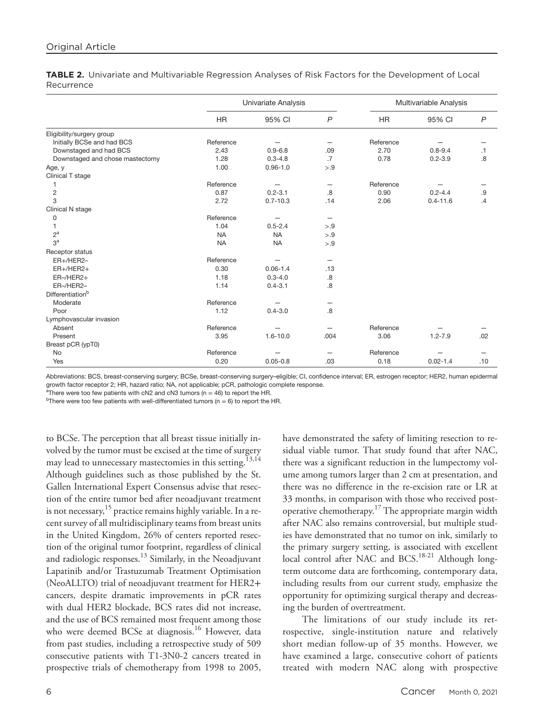**TABLE 2.** Univariate and Multivariable Regression Analyses of Risk Factors for the Development of Local Recurrence

|                                 | Univariate Analysis |              |                 | Multivariable Analysis |              |                |
|---------------------------------|---------------------|--------------|-----------------|------------------------|--------------|----------------|
|                                 | <b>HR</b>           | 95% CI       | $\overline{P}$  | <b>HR</b>              | 95% CI       | $\overline{P}$ |
| Eligibility/surgery group       |                     |              |                 |                        |              |                |
| Initially BCSe and had BCS      | Reference           |              | –               | Reference              |              |                |
| Downstaged and had BCS          | 2.43                | $0.9 - 6.8$  | .09             | 2.70                   | $0.8 - 9.4$  | $\cdot$ 1      |
| Downstaged and chose mastectomy | 1.28                | $0.3 - 4.8$  | $.7\phantom{0}$ | 0.78                   | $0.2 - 3.9$  | $\overline{8}$ |
| Age, y                          | 1.00                | $0.96 - 1.0$ | > 9             |                        |              |                |
| Clinical T stage                |                     |              |                 |                        |              |                |
| 1                               | Reference           |              | -               | Reference              |              |                |
| $\overline{c}$                  | 0.87                | $0.2 - 3.1$  | .8              | 0.90                   | $0.2 - 4.4$  | .9             |
| 3                               | 2.72                | $0.7 - 10.3$ | .14             | 2.06                   | $0.4 - 11.6$ | .4             |
| Clinical N stage                |                     |              |                 |                        |              |                |
| 0                               | Reference           |              |                 |                        |              |                |
| 1                               | 1.04                | $0.5 - 2.4$  | > 9             |                        |              |                |
| $2^a$                           | <b>NA</b>           | <b>NA</b>    | > 9             |                        |              |                |
| 3 <sup>a</sup>                  | <b>NA</b>           | <b>NA</b>    | > 9             |                        |              |                |
| Receptor status                 |                     |              |                 |                        |              |                |
| ER+/HER2-                       | Reference           |              |                 |                        |              |                |
| $ER+/HER2+$                     | 0.30                | $0.06 - 1.4$ | .13             |                        |              |                |
| $ER$ -/HER2+                    | 1.18                | $0.3 - 4.0$  | .8              |                        |              |                |
| ER-/HER2-                       | 1.14                | $0.4 - 3.1$  | 8.              |                        |              |                |
| Differentiation <sup>b</sup>    |                     |              |                 |                        |              |                |
| Moderate                        | Reference           |              |                 |                        |              |                |
| Poor                            | 1.12                | $0.4 - 3.0$  | .8              |                        |              |                |
| Lymphovascular invasion         |                     |              |                 |                        |              |                |
| Absent                          | Reference           |              |                 | Reference              |              |                |
| Present                         | 3.95                | $1.6 - 10.0$ | .004            | 3.06                   | $1.2 - 7.9$  | .02            |
| Breast pCR (ypT0)               |                     |              |                 |                        |              |                |
| <b>No</b>                       | Reference           |              |                 | Reference              |              |                |
| Yes                             | 0.20                | $0.05 - 0.8$ | .03             | 0.18                   | $0.02 - 1.4$ | .10            |

Abbreviations: BCS, breast-conserving surgery; BCSe, breast-conserving surgery–eligible; CI, confidence interval; ER, estrogen receptor; HER2, human epidermal growth factor receptor 2; HR, hazard ratio; NA, not applicable; pCR, pathologic complete response.

<sup>a</sup> There were too few patients with cN2 and cN3 tumors (n = 46) to report the HR.<br><sup>b</sup> There were too few patients with well differentiated tumors (n = 6) to report the

<sup>b</sup>There were too few patients with well-differentiated tumors ( $n = 6$ ) to report the HR.

to BCSe. The perception that all breast tissue initially involved by the tumor must be excised at the time of surgery may lead to unnecessary mastectomies in this setting.<sup>13,14</sup> Although guidelines such as those published by the St. Gallen International Expert Consensus advise that resection of the entire tumor bed after neoadjuvant treatment is not necessary,  $15$  practice remains highly variable. In a recent survey of all multidisciplinary teams from breast units in the United Kingdom, 26% of centers reported resection of the original tumor footprint, regardless of clinical and radiologic responses.<sup>13</sup> Similarly, in the Neoadjuvant Lapatinib and/or Trastuzumab Treatment Optimisation (NeoALLTO) trial of neoadjuvant treatment for HER2+ cancers, despite dramatic improvements in pCR rates with dual HER2 blockade, BCS rates did not increase, and the use of BCS remained most frequent among those who were deemed BCSe at diagnosis.<sup>16</sup> However, data from past studies, including a retrospective study of 509 consecutive patients with T1-3N0-2 cancers treated in prospective trials of chemotherapy from 1998 to 2005,

have demonstrated the safety of limiting resection to residual viable tumor. That study found that after NAC, there was a significant reduction in the lumpectomy volume among tumors larger than 2 cm at presentation, and there was no difference in the re-excision rate or LR at 33 months, in comparison with those who received postoperative chemotherapy.<sup>17</sup> The appropriate margin width after NAC also remains controversial, but multiple studies have demonstrated that no tumor on ink, similarly to the primary surgery setting, is associated with excellent local control after NAC and BCS.<sup>18-21</sup> Although longterm outcome data are forthcoming, contemporary data, including results from our current study, emphasize the opportunity for optimizing surgical therapy and decreasing the burden of overtreatment.

The limitations of our study include its retrospective, single-institution nature and relatively short median follow-up of 35 months. However, we have examined a large, consecutive cohort of patients treated with modern NAC along with prospective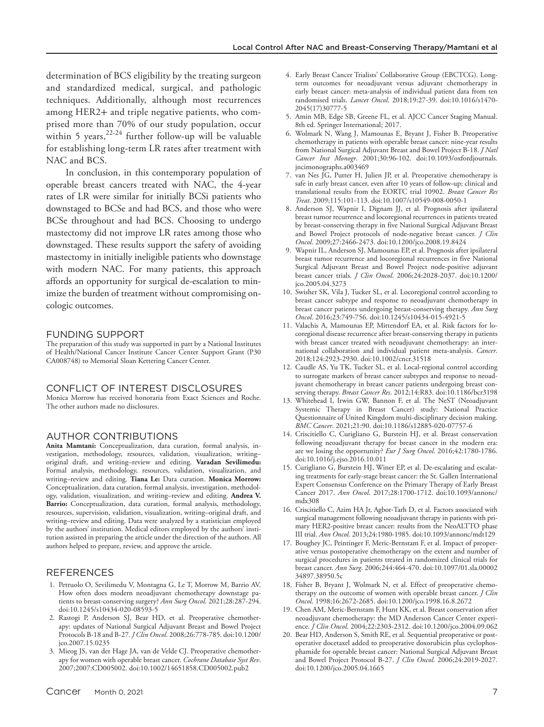determination of BCS eligibility by the treating surgeon and standardized medical, surgical, and pathologic techniques. Additionally, although most recurrences among HER2+ and triple negative patients, who comprised more than 70% of our study population, occur within 5 years,  $2^{2-24}$  further follow-up will be valuable for establishing long-term LR rates after treatment with NAC and BCS.

In conclusion, in this contemporary population of operable breast cancers treated with NAC, the 4-year rates of LR were similar for initially BCSi patients who downstaged to BCSe and had BCS, and those who were BCSe throughout and had BCS. Choosing to undergo mastectomy did not improve LR rates among those who downstaged. These results support the safety of avoiding mastectomy in initially ineligible patients who downstage with modern NAC. For many patients, this approach affords an opportunity for surgical de-escalation to minimize the burden of treatment without compromising oncologic outcomes.

#### FUNDING SUPPORT

The preparation of this study was supported in part by a National Institutes of Health/National Cancer Institute Cancer Center Support Grant (P30 CA008748) to Memorial Sloan Kettering Cancer Center.

#### CONFLICT OF INTEREST DISCLOSURES

Monica Morrow has received honoraria from Exact Sciences and Roche. The other authors made no disclosures.

#### AUTHOR CONTRIBUTIONS

**Anita Mamtani:** Conceptualization, data curation, formal analysis, investigation, methodology, resources, validation, visualization, writing– original draft, and writing–review and editing. **Varadan Sevilimedu:** Formal analysis, methodology, resources, validation, visualization, and writing–review and editing. **Tiana Le:** Data curation. **Monica Morrow:** Conceptualization, data curation, formal analysis, investigation, methodology, validation, visualization, and writing–review and editing. **Andrea V. Barrio:** Conceptualization, data curation, formal analysis, methodology, resources, supervision, validation, visualization, writing–original draft, and writing–review and editing. Data were analyzed by a statistician employed by the authors' institution. Medical editors employed by the authors' institution assisted in preparing the article under the direction of the authors. All authors helped to prepare, review, and approve the article.

## REFERENCES

- 1. Petruolo O, Sevilimedu V, Montagna G, Le T, Morrow M, Barrio AV. How often does modern neoadjuvant chemotherapy downstage patients to breast-conserving surgery? *Ann Surg Oncol*. 2021;28:287-294. doi[:10.1245/s10434-020-08593-5](https://doi.org/10.1245/s10434-020-08593-5)
- 2. Rastogi P, Anderson SJ, Bear HD, et al. Preoperative chemotherapy: updates of National Surgical Adjuvant Breast and Bowel Project Protocols B-18 and B-27. *J Clin Oncol*. 2008;26:778-785. doi[:10.1200/](https://doi.org/10.1200/jco.2007.15.0235) [jco.2007.15.0235](https://doi.org/10.1200/jco.2007.15.0235)
- 3. Mieog JS, van der Hage JA, van de Velde CJ. Preoperative chemotherapy for women with operable breast cancer. *Cochrane Database Syst Rev*. 2007;2007:CD005002. doi:[10.1002/14651858.CD005002.pub2](https://doi.org/10.1002/14651858.CD005002.pub2)
- 4. Early Breast Cancer Trialists' Collaborative Group (EBCTCG). Longterm outcomes for neoadjuvant versus adjuvant chemotherapy in early breast cancer: meta-analysis of individual patient data from ten randomised trials. *Lancet Oncol*. 2018;19:27-39. doi[:10.1016/s1470-](https://doi.org/10.1016/s1470-2045(17)30777-5) [2045\(17\)30777-5](https://doi.org/10.1016/s1470-2045(17)30777-5)
- 5. Amin MB, Edge SB, Greene FL, et al. AJCC Cancer Staging Manual. 8th ed. Springer International; 2017.
- 6. Wolmark N, Wang J, Mamounas E, Bryant J, Fisher B. Preoperative chemotherapy in patients with operable breast cancer: nine-year results from National Surgical Adjuvant Breast and Bowel Project B-18. *J Natl Cancer Inst Monogr*. 2001;30:96-102. doi:[10.1093/oxfordjournals.](https://doi.org/10.1093/oxfordjournals.jncimonographs.a003469) [jncimonographs.a003469](https://doi.org/10.1093/oxfordjournals.jncimonographs.a003469)
- 7. van Nes JG, Putter H, Julien JP, et al. Preoperative chemotherapy is safe in early breast cancer, even after 10 years of follow-up; clinical and translational results from the EORTC trial 10902. *Breast Cancer Res Treat*. 2009;115:101-113. doi[:10.1007/s10549-008-0050-1](https://doi.org/10.1007/s10549-008-0050-1)
- 8. Anderson SJ, Wapnir I, Dignam JJ, et al. Prognosis after ipsilateral breast tumor recurrence and locoregional recurrences in patients treated by breast-conserving therapy in five National Surgical Adjuvant Breast and Bowel Project protocols of node-negative breast cancer. *J Clin Oncol*. 2009;27:2466-2473. doi:[10.1200/jco.2008.19.8424](https://doi.org/10.1200/jco.2008.19.8424)
- 9. Wapnir IL, Anderson SJ, Mamounas EP, et al. Prognosis after ipsilateral breast tumor recurrence and locoregional recurrences in five National Surgical Adjuvant Breast and Bowel Project node-positive adjuvant breast cancer trials. *J Clin Oncol*. 2006;24:2028-2037. doi:[10.1200/](https://doi.org/10.1200/jco.2005.04.3273) [jco.2005.04.3273](https://doi.org/10.1200/jco.2005.04.3273)
- 10. Swisher SK, Vila J, Tucker SL, et al. Locoregional control according to breast cancer subtype and response to neoadjuvant chemotherapy in breast cancer patients undergoing breast-conserving therapy. *Ann Surg Oncol*. 2016;23:749-756. doi:[10.1245/s10434-015-4921-5](https://doi.org/10.1245/s10434-015-4921-5)
- 11. Valachis A, Mamounas EP, Mittendorf EA, et al. Risk factors for locoregional disease recurrence after breast-conserving therapy in patients with breast cancer treated with neoadjuvant chemotherapy: an international collaboration and individual patient meta-analysis. *Cancer*. 2018;124:2923-2930. doi[:10.1002/cncr.31518](https://doi.org/10.1002/cncr.31518)
- 12. Caudle AS, Yu TK, Tucker SL, et al. Local-regional control according to surrogate markers of breast cancer subtypes and response to neoadjuvant chemotherapy in breast cancer patients undergoing breast conserving therapy. *Breast Cancer Res*. 2012;14:R83. doi:[10.1186/bcr3198](https://doi.org/10.1186/bcr3198)
- 13. Whitehead I, Irwin GW, Bannon F, et al. The NeST (Neoadjuvant Systemic Therapy in Breast Cancer) study: National Practice Questionnaire of United Kingdom multi-disciplinary decision making. *BMC Cancer*. 2021;21:90. doi[:10.1186/s12885-020-07757-6](https://doi.org/10.1186/s12885-020-07757-6)
- 14. Criscitiello C, Curigliano G, Burstein HJ, et al. Breast conservation following neoadjuvant therapy for breast cancer in the modern era: are we losing the opportunity? *Eur J Surg Oncol*. 2016;42:1780-1786. doi:[10.1016/j.ejso.2016.10.011](https://doi.org/10.1016/j.ejso.2016.10.011)
- 15. Curigliano G, Burstein HJ, Winer EP, et al. De-escalating and escalating treatments for early-stage breast cancer: the St. Gallen International Expert Consensus Conference on the Primary Therapy of Early Breast Cancer 2017. *Ann Oncol*. 2017;28:1700-1712. doi[:10.1093/annonc/](https://doi.org/10.1093/annonc/mdx308) [mdx308](https://doi.org/10.1093/annonc/mdx308)
- 16. Criscitiello C, Azim HA Jr, Agbor-Tarh D, et al. Factors associated with surgical management following neoadjuvant therapy in patients with primary HER2-positive breast cancer: results from the NeoALTTO phase III trial. *Ann Oncol*. 2013;24:1980-1985. doi[:10.1093/annonc/mdt129](https://doi.org/10.1093/annonc/mdt129)
- 17. Boughey JC, Peintinger F, Meric-Bernstam F, et al. Impact of preoperative versus postoperative chemotherapy on the extent and number of surgical procedures in patients treated in randomized clinical trials for breast cancer. *Ann Surg*. 2006;244:464-470. doi:[10.1097/01.sla.00002](https://doi.org/10.1097/01.sla.0000234897.38950.5c) [34897.38950.5c](https://doi.org/10.1097/01.sla.0000234897.38950.5c)
- 18. Fisher B, Bryant J, Wolmark N, et al. Effect of preoperative chemotherapy on the outcome of women with operable breast cancer. *J Clin Oncol*. 1998;16:2672-2685. doi:[10.1200/jco.1998.16.8.2672](https://doi.org/10.1200/jco.1998.16.8.2672)
- 19. Chen AM, Meric-Bernstam F, Hunt KK, et al. Breast conservation after neoadjuvant chemotherapy: the MD Anderson Cancer Center experience. *J Clin Oncol*. 2004;22:2303-2312. doi:[10.1200/jco.2004.09.062](https://doi.org/10.1200/jco.2004.09.062)
- 20. Bear HD, Anderson S, Smith RE, et al. Sequential preoperative or postoperative docetaxel added to preoperative doxorubicin plus cyclophosphamide for operable breast cancer: National Surgical Adjuvant Breast and Bowel Project Protocol B-27. *J Clin Oncol*. 2006;24:2019-2027. doi:[10.1200/jco.2005.04.1665](https://doi.org/10.1200/jco.2005.04.1665)